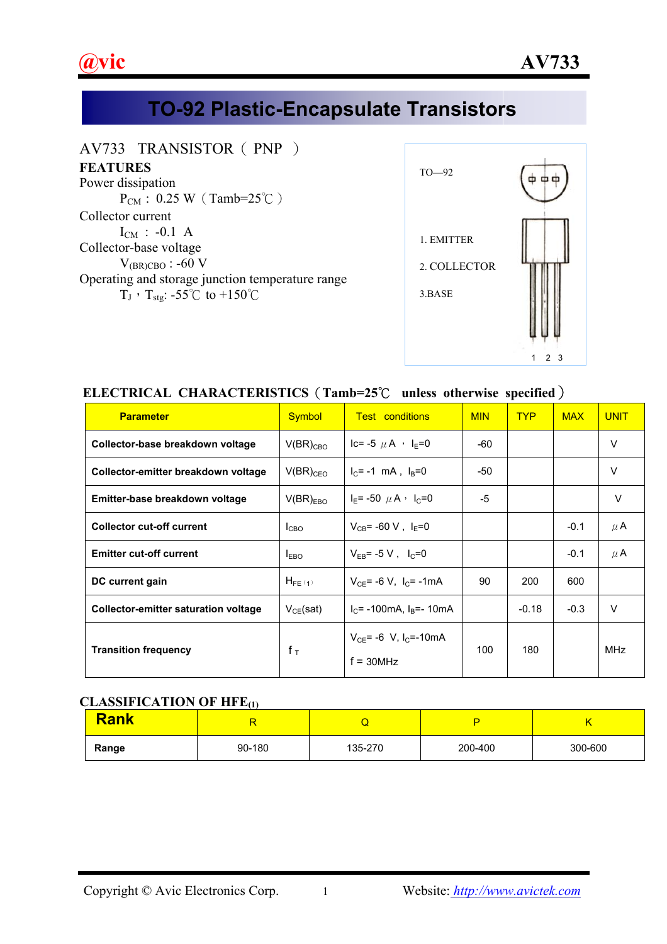

# **TO-92 Plastic-Encapsulate Transistors**

### AV733 TRANSISTOR (PNP)

#### **FEATURES**

Power dissipation  $P_{CM}$ : 0.25 W (Tamb=25°C) Collector current  $I_{CM}$  : -0.1 A Collector-base voltage  $V_{(BR)CRO}$ : -60 V Operating and storage junction temperature range  $T_J$ ,  $T_{\text{stg}}$ : -55°C to +150°C



## **ELECTRICAL CHARACTERISTICS**(**Tamb=25**℃ **unless otherwise specified**)

| <b>Parameter</b>                     | <b>Symbol</b>    | <b>Test conditions</b>                                 | <b>MIN</b> | <b>TYP</b> | <b>MAX</b> | <b>UNIT</b> |
|--------------------------------------|------------------|--------------------------------------------------------|------------|------------|------------|-------------|
| Collector-base breakdown voltage     | $V(BR)_{CBO}$    | Ic= -5 $\mu$ A $\cdot$ I <sub>E</sub> =0               | -60        |            |            | $\vee$      |
| Collector-emitter breakdown voltage  | $V(BR)_{CEO}$    | $I_C$ = -1 mA, $I_B$ =0                                | -50        |            |            | $\vee$      |
| Emitter-base breakdown voltage       | $V(BR)_{EBO}$    | $I_E$ = -50 $\mu$ A $\cdot$ $I_C$ =0                   | -5         |            |            | $\vee$      |
| <b>Collector cut-off current</b>     | I <sub>CBO</sub> | $V_{CB} = -60 V$ , $I_E = 0$                           |            |            | $-0.1$     | $\mu$ A     |
| <b>Emitter cut-off current</b>       | $I_{EBO}$        | $V_{FB}$ = -5 V, $I_C$ =0                              |            |            | $-0.1$     | $\mu$ A     |
| DC current gain                      | $H_{FE(1)}$      | $V_{CE}$ = -6 V, $I_C$ = -1mA                          | 90<br>200  |            | 600        |             |
| Collector-emitter saturation voltage | $V_{CE}(sat)$    | $I_C$ = -100mA, $I_B$ =- 10mA                          |            | $-0.18$    | $-0.3$     | $\vee$      |
| <b>Transition frequency</b>          | $f_T$            | $V_{CE}$ = -6 V, I <sub>C</sub> =-10mA<br>$f = 30$ MHz | 100        | 180        |            | MHz         |

#### **CLASSIFICATION OF HFE(1)**

| <b>Rank</b> |        |         |         |         |
|-------------|--------|---------|---------|---------|
| Range       | 90-180 | 135-270 | 200-400 | 300-600 |